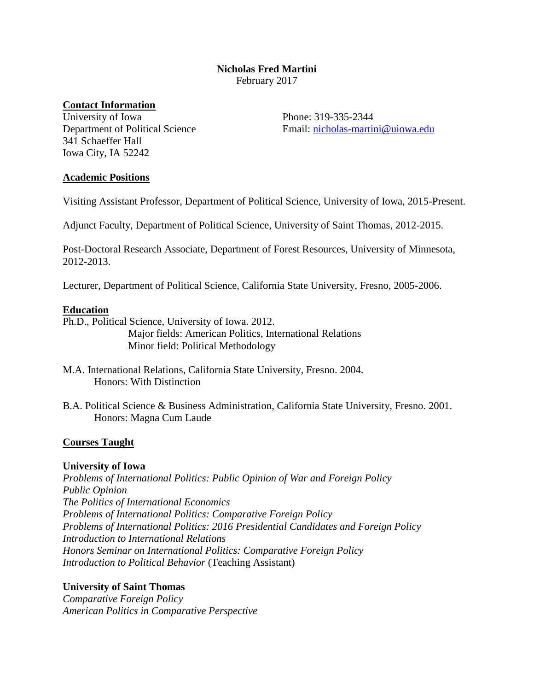# **Nicholas Fred Martini** February 2017

## **Contact Information**

University of Iowa Department of Political Science 341 Schaeffer Hall Iowa City, IA 52242

Phone: 319-335-2344 Email: [nicholas-martini@uiowa.edu](mailto:nicholas-martini@uiowa.edu)

### **Academic Positions**

Visiting Assistant Professor, Department of Political Science, University of Iowa, 2015-Present.

Adjunct Faculty, Department of Political Science, University of Saint Thomas, 2012-2015.

Post-Doctoral Research Associate, Department of Forest Resources, University of Minnesota, 2012-2013.

Lecturer, Department of Political Science, California State University, Fresno, 2005-2006.

### **Education**

Ph.D., Political Science, University of Iowa. 2012. Major fields: American Politics, International Relations Minor field: Political Methodology

B.A. Political Science & Business Administration, California State University, Fresno. 2001. Honors: Magna Cum Laude

# **Courses Taught**

### **University of Iowa**

*Problems of International Politics: Public Opinion of War and Foreign Policy Public Opinion The Politics of International Economics Problems of International Politics: Comparative Foreign Policy Problems of International Politics: 2016 Presidential Candidates and Foreign Policy Introduction to International Relations Honors Seminar on International Politics: Comparative Foreign Policy Introduction to Political Behavior* (Teaching Assistant)

### **University of Saint Thomas**

*Comparative Foreign Policy American Politics in Comparative Perspective*

M.A. International Relations, California State University, Fresno. 2004. Honors: With Distinction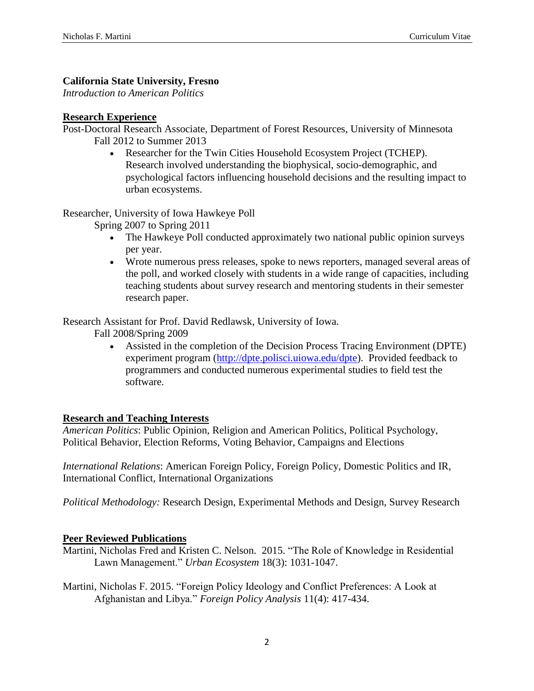# **California State University, Fresno**

*Introduction to American Politics*

## **Research Experience**

Post-Doctoral Research Associate, Department of Forest Resources, University of Minnesota Fall 2012 to Summer 2013

> Researcher for the Twin Cities Household Ecosystem Project (TCHEP). Research involved understanding the biophysical, socio-demographic, and psychological factors influencing household decisions and the resulting impact to urban ecosystems.

Researcher, University of Iowa Hawkeye Poll

Spring 2007 to Spring 2011

- The Hawkeye Poll conducted approximately two national public opinion surveys per year.
- Wrote numerous press releases, spoke to news reporters, managed several areas of the poll, and worked closely with students in a wide range of capacities, including teaching students about survey research and mentoring students in their semester research paper.

Research Assistant for Prof. David Redlawsk, University of Iowa.

Fall 2008/Spring 2009

 Assisted in the completion of the Decision Process Tracing Environment (DPTE) experiment program [\(http://dpte.polisci.uiowa.edu/dpte\)](http://dpte.polisci.uiowa.edu/dpte). Provided feedback to programmers and conducted numerous experimental studies to field test the software.

# **Research and Teaching Interests**

*American Politics*: Public Opinion, Religion and American Politics, Political Psychology, Political Behavior, Election Reforms, Voting Behavior, Campaigns and Elections

*International Relations*: American Foreign Policy, Foreign Policy, Domestic Politics and IR, International Conflict, International Organizations

*Political Methodology:* Research Design, Experimental Methods and Design, Survey Research

# **Peer Reviewed Publications**

Martini, Nicholas Fred and Kristen C. Nelson. 2015. "The Role of Knowledge in Residential Lawn Management." *Urban Ecosystem* 18(3): 1031-1047.

Martini, Nicholas F. 2015. "Foreign Policy Ideology and Conflict Preferences: A Look at Afghanistan and Libya." *Foreign Policy Analysis* 11(4): 417-434.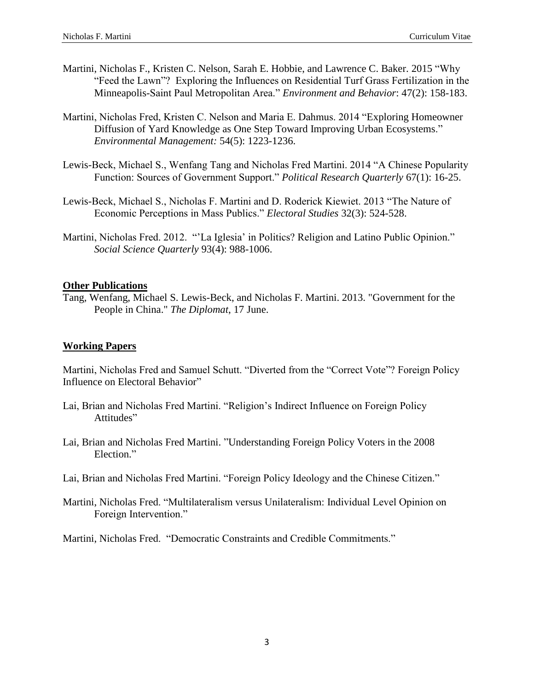- Martini, Nicholas F., Kristen C. Nelson, Sarah E. Hobbie, and Lawrence C. Baker. 2015 "Why "Feed the Lawn"? Exploring the Influences on Residential Turf Grass Fertilization in the Minneapolis-Saint Paul Metropolitan Area." *Environment and Behavior*: 47(2): 158-183.
- Martini, Nicholas Fred, Kristen C. Nelson and Maria E. Dahmus. 2014 "Exploring Homeowner Diffusion of Yard Knowledge as One Step Toward Improving Urban Ecosystems." *Environmental Management:* 54(5): 1223-1236.
- Lewis-Beck, Michael S., Wenfang Tang and Nicholas Fred Martini. 2014 "A Chinese Popularity Function: Sources of Government Support." *Political Research Quarterly* 67(1): 16-25.
- Lewis-Beck, Michael S., Nicholas F. Martini and D. Roderick Kiewiet. 2013 "The Nature of Economic Perceptions in Mass Publics." *Electoral Studies* 32(3): 524-528.
- Martini, Nicholas Fred. 2012. "'La Iglesia' in Politics? Religion and Latino Public Opinion." *Social Science Quarterly* 93(4): 988-1006.

### **Other Publications**

Tang, Wenfang, Michael S. Lewis-Beck, and Nicholas F. Martini. 2013. "Government for the People in China." *The Diplomat*, 17 June.

### **Working Papers**

Martini, Nicholas Fred and Samuel Schutt. "Diverted from the "Correct Vote"? Foreign Policy Influence on Electoral Behavior"

- Lai, Brian and Nicholas Fred Martini. "Religion's Indirect Influence on Foreign Policy Attitudes"
- Lai, Brian and Nicholas Fred Martini. "Understanding Foreign Policy Voters in the 2008 Election."
- Lai, Brian and Nicholas Fred Martini. "Foreign Policy Ideology and the Chinese Citizen."
- Martini, Nicholas Fred. "Multilateralism versus Unilateralism: Individual Level Opinion on Foreign Intervention."

Martini, Nicholas Fred. "Democratic Constraints and Credible Commitments."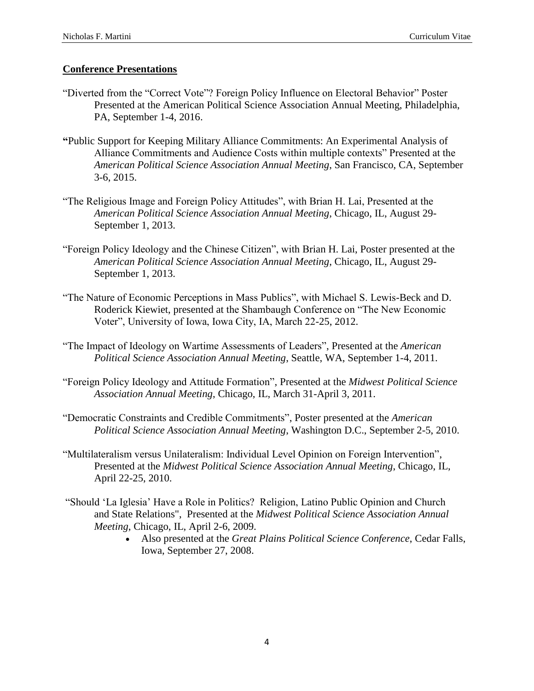# **Conference Presentations**

- "Diverted from the "Correct Vote"? Foreign Policy Influence on Electoral Behavior" Poster Presented at the American Political Science Association Annual Meeting, Philadelphia, PA, September 1-4, 2016.
- **"**Public Support for Keeping Military Alliance Commitments: An Experimental Analysis of Alliance Commitments and Audience Costs within multiple contexts" Presented at the *American Political Science Association Annual Meeting*, San Francisco, CA, September 3-6, 2015.
- "The Religious Image and Foreign Policy Attitudes", with Brian H. Lai, Presented at the *American Political Science Association Annual Meeting*, Chicago, IL, August 29- September 1, 2013.
- "Foreign Policy Ideology and the Chinese Citizen", with Brian H. Lai, Poster presented at the *American Political Science Association Annual Meeting*, Chicago, IL, August 29- September 1, 2013.
- "The Nature of Economic Perceptions in Mass Publics", with Michael S. Lewis-Beck and D. Roderick Kiewiet, presented at the Shambaugh Conference on "The New Economic Voter", University of Iowa, Iowa City, IA, March 22-25, 2012.
- "The Impact of Ideology on Wartime Assessments of Leaders", Presented at the *American Political Science Association Annual Meeting*, Seattle, WA, September 1-4, 2011.
- "Foreign Policy Ideology and Attitude Formation", Presented at the *Midwest Political Science Association Annual Meeting*, Chicago, IL, March 31-April 3, 2011.
- "Democratic Constraints and Credible Commitments", Poster presented at the *American Political Science Association Annual Meeting*, Washington D.C., September 2-5, 2010.
- "Multilateralism versus Unilateralism: Individual Level Opinion on Foreign Intervention", Presented at the *Midwest Political Science Association Annual Meeting*, Chicago, IL, April 22-25, 2010.
- "Should 'La Iglesia' Have a Role in Politics? Religion, Latino Public Opinion and Church and State Relations", Presented at the *Midwest Political Science Association Annual Meeting*, Chicago, IL, April 2-6, 2009.
	- Also presented at the *Great Plains Political Science Conference*, Cedar Falls, Iowa, September 27, 2008.